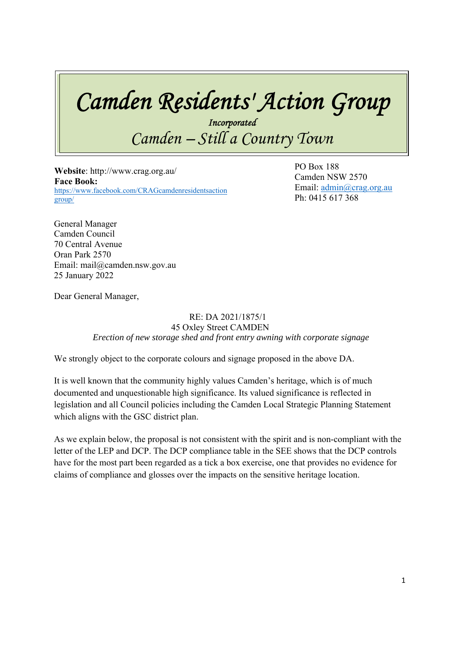# *Camden Residents' Action Group*

*Incorporated Camden – Still a Country Town* 

 **Website**: http://www.crag.org.au/ **Face Book:**  https://www.facebook.com/CRAGcamdenresidentsaction group/

 $\overline{D} \overline{O} \overline{D}$ PO Box 188 Camden NSW 2570 Email: admin@crag.org.au Ph: 0415 617 368

General Manager Camden Council 70 Central Avenue Oran Park 2570 Email: mail@camden.nsw.gov.au 25 January 2022

Dear General Manager,

#### RE: DA 2021/1875/1 45 Oxley Street CAMDEN *Erection of new storage shed and front entry awning with corporate signage*

We strongly object to the corporate colours and signage proposed in the above DA.

It is well known that the community highly values Camden's heritage, which is of much documented and unquestionable high significance. Its valued significance is reflected in legislation and all Council policies including the Camden Local Strategic Planning Statement which aligns with the GSC district plan.

As we explain below, the proposal is not consistent with the spirit and is non-compliant with the letter of the LEP and DCP. The DCP compliance table in the SEE shows that the DCP controls have for the most part been regarded as a tick a box exercise, one that provides no evidence for claims of compliance and glosses over the impacts on the sensitive heritage location.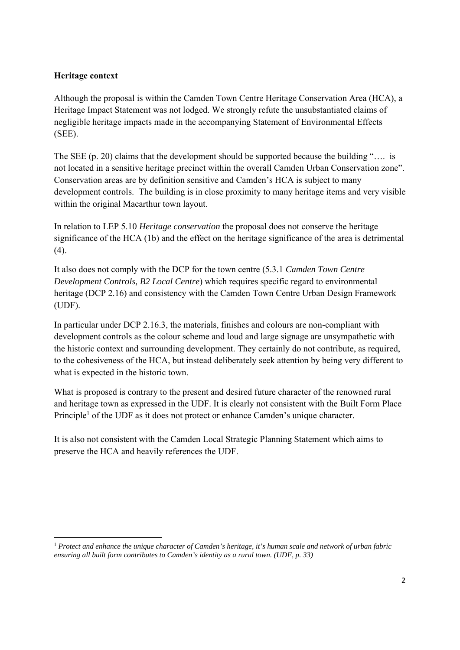### **Heritage context**

Although the proposal is within the Camden Town Centre Heritage Conservation Area (HCA), a Heritage Impact Statement was not lodged. We strongly refute the unsubstantiated claims of negligible heritage impacts made in the accompanying Statement of Environmental Effects (SEE).

The SEE (p. 20) claims that the development should be supported because the building ".... is not located in a sensitive heritage precinct within the overall Camden Urban Conservation zone". Conservation areas are by definition sensitive and Camden's HCA is subject to many development controls. The building is in close proximity to many heritage items and very visible within the original Macarthur town layout.

In relation to LEP 5.10 *Heritage conservation* the proposal does not conserve the heritage significance of the HCA (1b) and the effect on the heritage significance of the area is detrimental (4).

It also does not comply with the DCP for the town centre (5.3.1 *Camden Town Centre Development Controls, B2 Local Centre*) which requires specific regard to environmental heritage (DCP 2.16) and consistency with the Camden Town Centre Urban Design Framework (UDF).

In particular under DCP 2.16.3, the materials, finishes and colours are non-compliant with development controls as the colour scheme and loud and large signage are unsympathetic with the historic context and surrounding development. They certainly do not contribute, as required, to the cohesiveness of the HCA, but instead deliberately seek attention by being very different to what is expected in the historic town.

What is proposed is contrary to the present and desired future character of the renowned rural and heritage town as expressed in the UDF. It is clearly not consistent with the Built Form Place Principle<sup>1</sup> of the UDF as it does not protect or enhance Camden's unique character.

It is also not consistent with the Camden Local Strategic Planning Statement which aims to preserve the HCA and heavily references the UDF.

<sup>1</sup> *Protect and enhance the unique character of Camden's heritage, it's human scale and network of urban fabric ensuring all built form contributes to Camden's identity as a rural town. (UDF, p. 33)*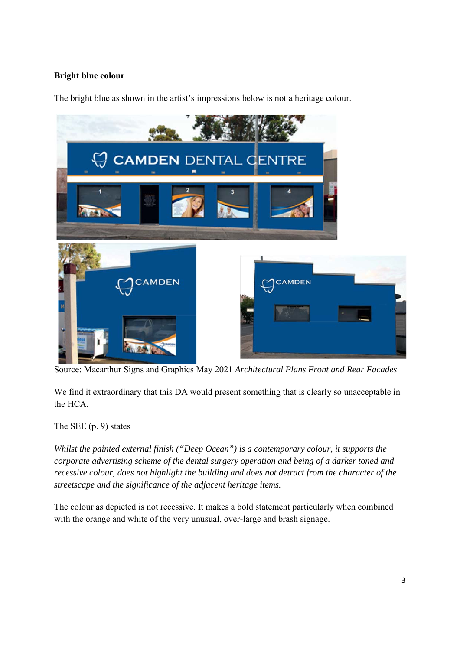## **Bright blue colour**

The bright blue as shown in the artist's impressions below is not a heritage colour.



Source: Macarthur Signs and Graphics May 2021 *Architectural Plans Front and Rear Facades*

We find it extraordinary that this DA would present something that is clearly so unacceptable in the HCA.

The SEE (p. 9) states

*Whilst the painted external finish ("Deep Ocean") is a contemporary colour, it supports the corporate advertising scheme of the dental surgery operation and being of a darker toned and recessive colour, does not highlight the building and does not detract from the character of the streetscape and the significance of the adjacent heritage items.* 

The colour as depicted is not recessive. It makes a bold statement particularly when combined with the orange and white of the very unusual, over-large and brash signage.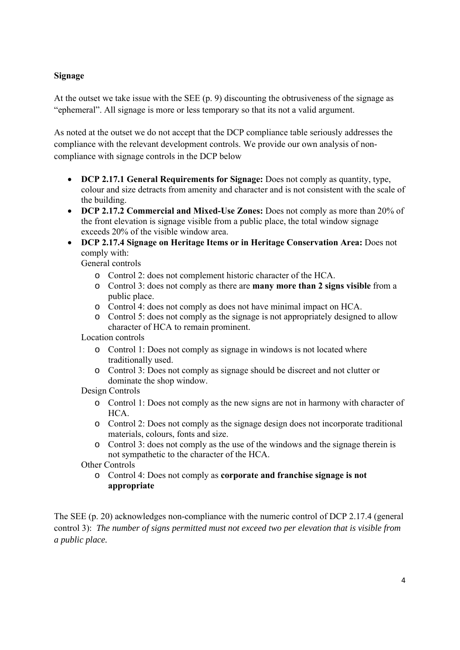### **Signage**

At the outset we take issue with the SEE (p. 9) discounting the obtrusiveness of the signage as "ephemeral". All signage is more or less temporary so that its not a valid argument.

As noted at the outset we do not accept that the DCP compliance table seriously addresses the compliance with the relevant development controls. We provide our own analysis of noncompliance with signage controls in the DCP below

- **DCP 2.17.1 General Requirements for Signage:** Does not comply as quantity, type, colour and size detracts from amenity and character and is not consistent with the scale of the building.
- **DCP 2.17.2 Commercial and Mixed-Use Zones:** Does not comply as more than 20% of the front elevation is signage visible from a public place, the total window signage exceeds 20% of the visible window area.
- **DCP 2.17.4 Signage on Heritage Items or in Heritage Conservation Area:** Does not comply with:

General controls

- o Control 2: does not complement historic character of the HCA.
- o Control 3: does not comply as there are **many more than 2 signs visible** from a public place.
- o Control 4: does not comply as does not have minimal impact on HCA.
- o Control 5: does not comply as the signage is not appropriately designed to allow character of HCA to remain prominent.

Location controls

- o Control 1: Does not comply as signage in windows is not located where traditionally used.
- o Control 3: Does not comply as signage should be discreet and not clutter or dominate the shop window.

Design Controls

- o Control 1: Does not comply as the new signs are not in harmony with character of HCA.
- o Control 2: Does not comply as the signage design does not incorporate traditional materials, colours, fonts and size.
- o Control 3: does not comply as the use of the windows and the signage therein is not sympathetic to the character of the HCA.

Other Controls

o Control 4: Does not comply as **corporate and franchise signage is not appropriate** 

The SEE (p. 20) acknowledges non-compliance with the numeric control of DCP 2.17.4 (general control 3): *The number of signs permitted must not exceed two per elevation that is visible from a public place.*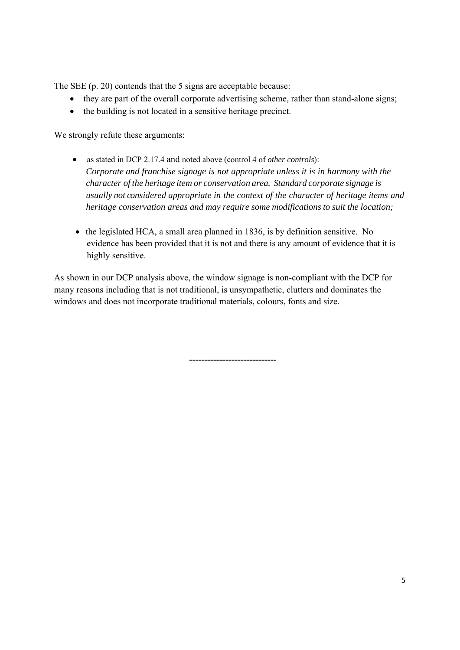The SEE (p. 20) contends that the 5 signs are acceptable because:

- they are part of the overall corporate advertising scheme, rather than stand-alone signs;
- the building is not located in a sensitive heritage precinct.

We strongly refute these arguments:

- as stated in DCP 2.17.4 and noted above (control 4 of *other controls*): *Corporate and franchise signage is not appropriate unless it is in harmony with the character of the heritage item or conservation area. Standard corporate signage is usually not considered appropriate in the context of the character of heritage items and heritage conservation areas and may require some modifications to suit the location;*
- the legislated HCA, a small area planned in 1836, is by definition sensitive. No evidence has been provided that it is not and there is any amount of evidence that it is highly sensitive.

As shown in our DCP analysis above, the window signage is non-compliant with the DCP for many reasons including that is not traditional, is unsympathetic, clutters and dominates the windows and does not incorporate traditional materials, colours, fonts and size.

**-----------------------------**